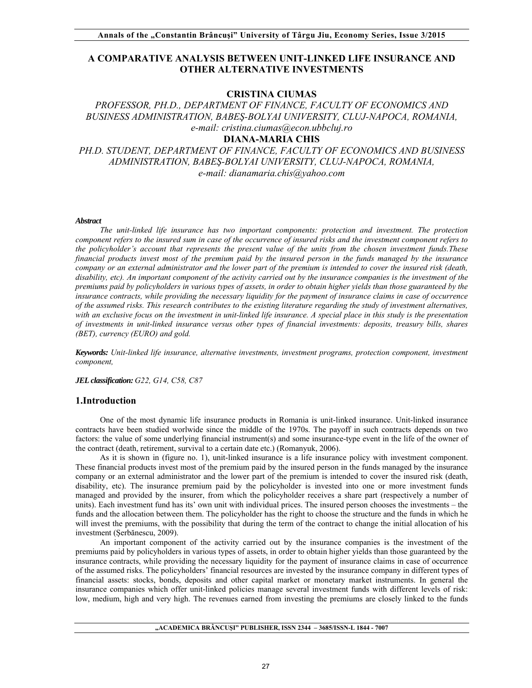## **A COMPARATIVE ANALYSIS BETWEEN UNIT-LINKED LIFE INSURANCE AND OTHER ALTERNATIVE INVESTMENTS**

### **CRISTINA CIUMAS**

# *PROFESSOR, PH.D., DEPARTMENT OF FINANCE, FACULTY OF ECONOMICS AND BUSINESS ADMINISTRATION, BABEŞ-BOLYAI UNIVERSITY, CLUJ-NAPOCA, ROMANIA, e-mail: cristina.ciumas@econ.ubbcluj.ro*

## **DIANA-MARIA CHIS**

*PH.D. STUDENT, DEPARTMENT OF FINANCE, FACULTY OF ECONOMICS AND BUSINESS ADMINISTRATION, BABEŞ-BOLYAI UNIVERSITY, CLUJ-NAPOCA, ROMANIA, e-mail: dianamaria.chis@yahoo.com* 

#### *Abstract*

*The unit-linked life insurance has two important components: protection and investment. The protection component refers to the insured sum in case of the occurrence of insured risks and the investment component refers to the policyholder's account that represents the present value of the units from the chosen investment funds.These financial products invest most of the premium paid by the insured person in the funds managed by the insurance company or an external administrator and the lower part of the premium is intended to cover the insured risk (death, disability, etc). An important component of the activity carried out by the insurance companies is the investment of the premiums paid by policyholders in various types of assets, in order to obtain higher yields than those guaranteed by the insurance contracts, while providing the necessary liquidity for the payment of insurance claims in case of occurrence of the assumed risks. This research contributes to the existing literature regarding the study of investment alternatives, with an exclusive focus on the investment in unit-linked life insurance. A special place in this study is the presentation of investments in unit-linked insurance versus other types of financial investments: deposits, treasury bills, shares (BET), currency (EURO) and gold.* 

*Keywords: Unit-linked life insurance, alternative investments, investment programs, protection component, investment component,* 

*JEL classification: G22, G14, C58, C87* 

### **1.Introduction**

One of the most dynamic life insurance products in Romania is unit-linked insurance. Unit-linked insurance contracts have been studied worlwide since the middle of the 1970s. The payoff in such contracts depends on two factors: the value of some underlying financial instrument(s) and some insurance-type event in the life of the owner of the contract (death, retirement, survival to a certain date etc.) (Romanyuk, 2006).

As it is shown in (figure no. 1), unit-linked insurance is a life insurance policy with investment component. These financial products invest most of the premium paid by the insured person in the funds managed by the insurance company or an external administrator and the lower part of the premium is intended to cover the insured risk (death, disability, etc). The insurance premium paid by the policyholder is invested into one or more investment funds managed and provided by the insurer, from which the policyholder receives a share part (respectively a number of units). Each investment fund has its' own unit with individual prices. The insured person chooses the investments – the funds and the allocation between them. The policyholder has the right to choose the structure and the funds in which he will invest the premiums, with the possibility that during the term of the contract to change the initial allocation of his investment (Șerbănescu, 2009).

An important component of the activity carried out by the insurance companies is the investment of the premiums paid by policyholders in various types of assets, in order to obtain higher yields than those guaranteed by the insurance contracts, while providing the necessary liquidity for the payment of insurance claims in case of occurrence of the assumed risks. The policyholders' financial resources are invested by the insurance company in different types of financial assets: stocks, bonds, deposits and other capital market or monetary market instruments. In general the insurance companies which offer unit-linked policies manage several investment funds with different levels of risk: low, medium, high and very high. The revenues earned from investing the premiums are closely linked to the funds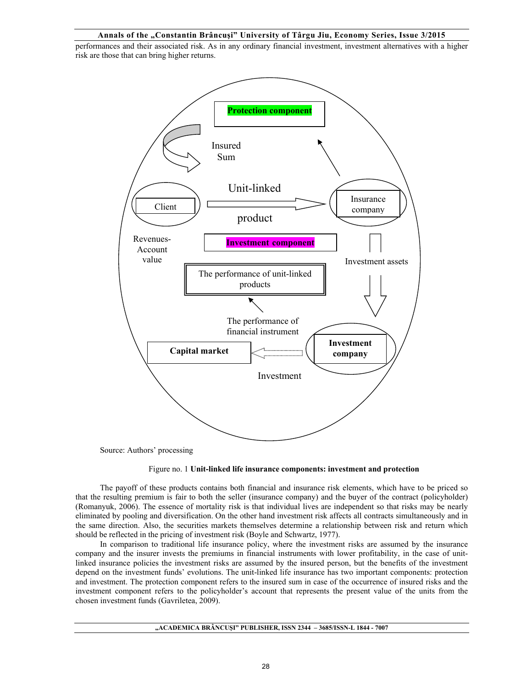#### **Annals of the "Constantin Brâncuşi" University of Târgu Jiu, Economy Series, Issue 3/2015**

performances and their associated risk. As in any ordinary financial investment, investment alternatives with a higher risk are those that can bring higher returns.



Source: Authors' processing

#### Figure no. 1 **Unit-linked life insurance components: investment and protection**

The payoff of these products contains both financial and insurance risk elements, which have to be priced so that the resulting premium is fair to both the seller (insurance company) and the buyer of the contract (policyholder) (Romanyuk, 2006). The essence of mortality risk is that individual lives are independent so that risks may be nearly eliminated by pooling and diversification. On the other hand investment risk affects all contracts simultaneously and in the same direction. Also, the securities markets themselves determine a relationship between risk and return which should be reflected in the pricing of investment risk (Boyle and Schwartz, 1977).

In comparison to traditional life insurance policy, where the investment risks are assumed by the insurance company and the insurer invests the premiums in financial instruments with lower profitability, in the case of unitlinked insurance policies the investment risks are assumed by the insured person, but the benefits of the investment depend on the investment funds' evolutions. The unit-linked life insurance has two important components: protection and investment. The protection component refers to the insured sum in case of the occurrence of insured risks and the investment component refers to the policyholder's account that represents the present value of the units from the chosen investment funds (Gavriletea, 2009).

#### **"ACADEMICA BRÂNCUŞI" PUBLISHER, ISSN 2344 – 3685/ISSN-L 1844 - 7007**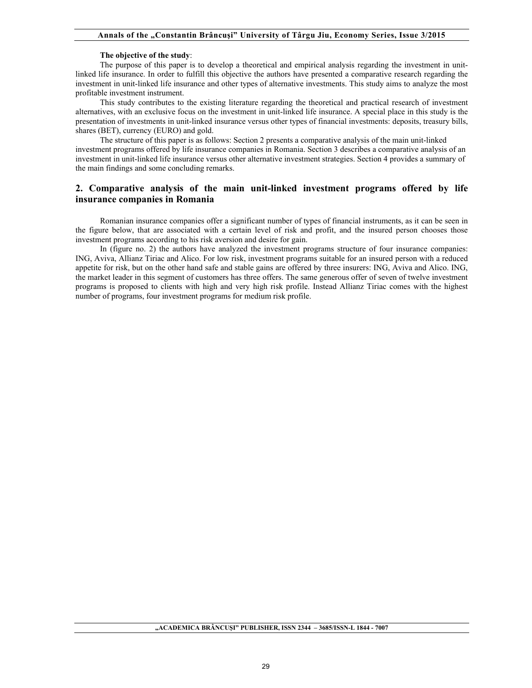#### **The objective of the study**:

The purpose of this paper is to develop a theoretical and empirical analysis regarding the investment in unitlinked life insurance. In order to fulfill this objective the authors have presented a comparative research regarding the investment in unit-linked life insurance and other types of alternative investments. This study aims to analyze the most profitable investment instrument.

This study contributes to the existing literature regarding the theoretical and practical research of investment alternatives, with an exclusive focus on the investment in unit-linked life insurance. A special place in this study is the presentation of investments in unit-linked insurance versus other types of financial investments: deposits, treasury bills, shares (BET), currency (EURO) and gold.

The structure of this paper is as follows: Section 2 presents a comparative analysis of the main unit-linked investment programs offered by life insurance companies in Romania. Section 3 describes a comparative analysis of an investment in unit-linked life insurance versus other alternative investment strategies. Section 4 provides a summary of the main findings and some concluding remarks.

## **2. Comparative analysis of the main unit-linked investment programs offered by life insurance companies in Romania**

Romanian insurance companies offer a significant number of types of financial instruments, as it can be seen in the figure below, that are associated with a certain level of risk and profit, and the insured person chooses those investment programs according to his risk aversion and desire for gain.

In (figure no. 2) the authors have analyzed the investment programs structure of four insurance companies: ING, Aviva, Allianz Tiriac and Alico. For low risk, investment programs suitable for an insured person with a reduced appetite for risk, but on the other hand safe and stable gains are offered by three insurers: ING, Aviva and Alico. ING, the market leader in this segment of customers has three offers. The same generous offer of seven of twelve investment programs is proposed to clients with high and very high risk profile. Instead Allianz Tiriac comes with the highest number of programs, four investment programs for medium risk profile.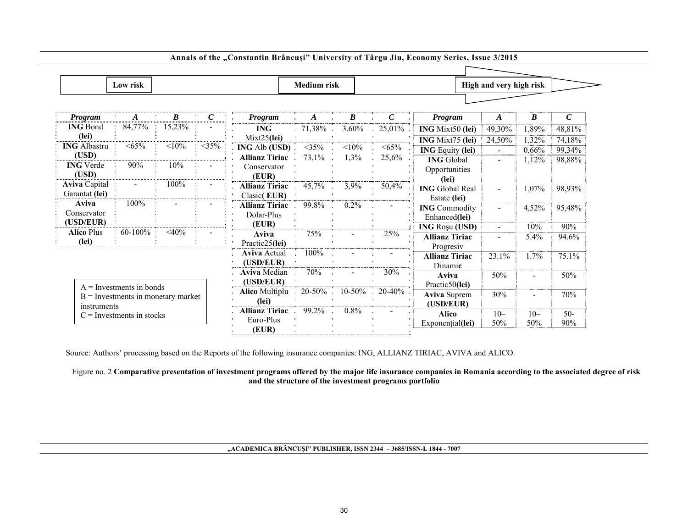|                       | Low risk                             |                    |                                                                                                                                                                                                                                                                                                                                              |                                                                         | <b>Medium</b> risk            |                  |     |                         | High and very high risk |                  |               |
|-----------------------|--------------------------------------|--------------------|----------------------------------------------------------------------------------------------------------------------------------------------------------------------------------------------------------------------------------------------------------------------------------------------------------------------------------------------|-------------------------------------------------------------------------|-------------------------------|------------------|-----|-------------------------|-------------------------|------------------|---------------|
|                       |                                      |                    |                                                                                                                                                                                                                                                                                                                                              |                                                                         |                               |                  |     |                         |                         |                  |               |
| Program               | $\vdots$ $A$                         | $\frac{B}{\cdots}$ | $\ldots$ $\ldots$ $\ldots$ $\ldots$ $\ldots$ $\ldots$ $\ldots$ $\ldots$ $\ldots$ $\ldots$ $\ldots$ $\ldots$ $\ldots$ $\ldots$ $\ldots$ $\ldots$ $\ldots$ $\ldots$ $\ldots$ $\ldots$ $\ldots$ $\ldots$ $\ldots$ $\ldots$ $\ldots$ $\ldots$ $\ldots$ $\ldots$ $\ldots$ $\ldots$ $\ldots$ $\ldots$ $\ldots$ $\ldots$ $\ldots$ $\ldots$ $\ldots$ | <b>Program</b>                                                          |                               | $\boldsymbol{B}$ |     | Program                 | $\boldsymbol{A}$        | $\boldsymbol{B}$ | $\mathcal{C}$ |
| <b>ING Bond</b>       | 84,77%                               | 15,23%             |                                                                                                                                                                                                                                                                                                                                              | <b>ING</b>                                                              | $-71,38\%$ $3,60\%$ $25,01\%$ |                  |     | <b>ING</b> Mixt50 (lei) | 49,30%                  | 1,89%            | 48,81%        |
| (lei)                 |                                      |                    |                                                                                                                                                                                                                                                                                                                                              | $Mixt25$ (lei)                                                          |                               |                  |     | ING Mixt75 (lei)        | 24,50%                  | 1,32%            | 74,18%        |
| <b>ING Albastru</b> : | $< 65\%$                             | $< 10\%$           | $<$ 35%                                                                                                                                                                                                                                                                                                                                      | <b>ING</b> Alb (USD) <35% <10% <65%                                     |                               |                  |     | <b>ING Equity (lei)</b> |                         | 0,66%            | 99,34%        |
| (USD)                 |                                      |                    |                                                                                                                                                                                                                                                                                                                                              | Allianz Tiriac $\cdot$ 73,1% $\cdot$ 1,3% $\cdot$ 25,6%                 |                               |                  |     | <b>ING</b> Global       |                         | 1,12%            | 98,88%        |
| <b>ING</b> Verde      | $90\%$                               | $10\%$             |                                                                                                                                                                                                                                                                                                                                              | Conservator                                                             |                               |                  |     | Opportunities           |                         |                  |               |
| (USD)                 |                                      |                    |                                                                                                                                                                                                                                                                                                                                              | (EUR)                                                                   |                               |                  |     | (lei)                   |                         |                  |               |
| <b>Aviva Capital</b>  | $\sim 10^{-1}$                       | $100\%$            |                                                                                                                                                                                                                                                                                                                                              | <b>Allianz Tiriac</b> 45,7% 3,9% 50,4%                                  |                               |                  |     | <b>ING</b> Global Real  | $\sim$                  | 1,07%            | 98,93%        |
| Garantat (lei)        |                                      |                    |                                                                                                                                                                                                                                                                                                                                              | $\frac{2 \text{Classic} ( \text{EUR})}{2 \text{Classic} ( \text{EUR})}$ |                               |                  |     | Estate (lei)            |                         |                  |               |
| <b>Aviva</b>          | 100%                                 |                    |                                                                                                                                                                                                                                                                                                                                              | <b>Allianz Tiriac</b> $.99.8\%$ $.0.2\%$                                |                               |                  |     | <b>ING Commodity</b>    | $\sim$                  | 4,52%            | 95,48%        |
| Conservator           |                                      |                    |                                                                                                                                                                                                                                                                                                                                              | Dolar-Plus                                                              |                               |                  |     | Enhanced(lei)           |                         |                  |               |
| (USD/EUR)             |                                      |                    |                                                                                                                                                                                                                                                                                                                                              | (EUR)                                                                   |                               |                  |     | <b>ING Rosu (USD)</b>   | $\sim$                  | 10%              | 90%           |
| <b>Alico Plus</b>     | $60-100\%$ $\leq 40\%$ :             |                    |                                                                                                                                                                                                                                                                                                                                              | Aviva                                                                   | $75\%$ - 25%                  |                  |     | <b>Allianz Tiriac</b>   |                         | $5.4\%$          | 94.6%         |
| (lei)                 |                                      |                    |                                                                                                                                                                                                                                                                                                                                              | Practic25(lei)                                                          |                               |                  |     | Progresiy               |                         |                  |               |
|                       |                                      |                    |                                                                                                                                                                                                                                                                                                                                              | <b>Aviva Actual</b>                                                     | $100\%$                       |                  |     | <b>Allianz Tiriac</b>   | $23.1\%$                | 1.7%             | 75.1%         |
|                       |                                      |                    |                                                                                                                                                                                                                                                                                                                                              | (USD/EUR)                                                               |                               |                  |     | Dinamic                 |                         |                  |               |
|                       |                                      |                    |                                                                                                                                                                                                                                                                                                                                              | Aviva Median                                                            | 70%                           | $\sim$           | 30% | Aviva                   | 50%                     | $\blacksquare$   | 50%           |
|                       | $A =$ Investments in bonds           |                    |                                                                                                                                                                                                                                                                                                                                              | (USD/EUR)                                                               |                               |                  |     | Practic50(lei)          |                         |                  |               |
|                       | $B =$ Investments in monetary market |                    |                                                                                                                                                                                                                                                                                                                                              | <b>Alico</b> Multiplu $\,$ 20-50% $\,$ 10-50% $\,$ 20-40% $\,$          |                               |                  |     | <b>Aviva Suprem</b>     | 30%                     | $\blacksquare$   | 70%           |
| instruments           |                                      |                    |                                                                                                                                                                                                                                                                                                                                              | (lei)                                                                   |                               |                  |     | (USD/EUR)               |                         |                  |               |
|                       | $C =$ Investments in stocks          |                    |                                                                                                                                                                                                                                                                                                                                              | Allianz Tiriac 99.2%                                                    |                               | $0.8\%$          |     | <b>Alico</b>            | $10-$                   | $10-$            | $50-$         |
|                       |                                      |                    |                                                                                                                                                                                                                                                                                                                                              | Euro-Plus<br>(EUR)                                                      |                               |                  |     | Exponential(lei)        | 50%                     | 50%              | 90%           |

Annals of the "Constantin Brâncuși" University of Târgu Jiu, Economy Series, Issue 3/2015

Source: Authors' processing based on the Reports of the following insurance companies: ING, ALLIANZ TIRIAC, AVIVA and ALICO.

### Figure no. 2 **Comparative presentation of investment programs offered by the major life insurance companies in Romania according to the associated degree of risk and the structure of the investment programs portfolio**

### **"ACADEMICA BRÂNCUŞI" PUBLISHER, ISSN 2344 – 3685/ISSN-L 1844 - 7007**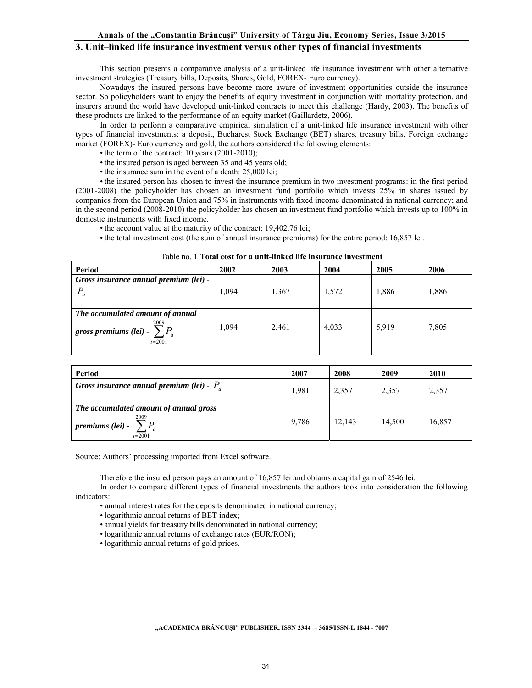#### **Annals of the "Constantin Brâncuşi" University of Târgu Jiu, Economy Series, Issue 3/2015**

## **3. Unit–linked life insurance investment versus other types of financial investments**

This section presents a comparative analysis of a unit-linked life insurance investment with other alternative investment strategies (Treasury bills, Deposits, Shares, Gold, FOREX- Euro currency).

Nowadays the insured persons have become more aware of investment opportunities outside the insurance sector. So policyholders want to enjoy the benefits of equity investment in conjunction with mortality protection, and insurers around the world have developed unit-linked contracts to meet this challenge (Hardy, 2003). The benefits of these products are linked to the performance of an equity market (Gaillardetz, 2006).

In order to perform a comparative empirical simulation of a unit-linked life insurance investment with other types of financial investments: a deposit, Bucharest Stock Exchange (BET) shares, treasury bills, Foreign exchange market (FOREX)- Euro currency and gold, the authors considered the following elements:

- the term of the contract: 10 years (2001-2010);
- the insured person is aged between 35 and 45 years old;
- the insurance sum in the event of a death: 25,000 lei;

• the insured person has chosen to invest the insurance premium in two investment programs: in the first period (2001-2008) the policyholder has chosen an investment fund portfolio which invests 25% in shares issued by companies from the European Union and 75% in instruments with fixed income denominated in national currency; and in the second period (2008-2010) the policyholder has chosen an investment fund portfolio which invests up to 100% in domestic instruments with fixed income.

- the account value at the maturity of the contract: 19,402.76 lei;
- the total investment cost (the sum of annual insurance premiums) for the entire period: 16,857 lei.

| Period                                                  | 2002  | 2003  | 2004  | 2005  | 2006  |
|---------------------------------------------------------|-------|-------|-------|-------|-------|
| Gross insurance annual premium (lei) -                  |       |       |       |       |       |
| $P_a$                                                   | 1.094 | 1,367 | 1,572 | 1,886 | 1,886 |
|                                                         |       |       |       |       |       |
| The accumulated amount of annual                        |       |       |       |       |       |
| 2009<br>gross premiums (lei) - $\sum P_a$<br>$i = 2001$ | 1.094 | 2,461 | 4,033 | 5,919 | 7,805 |
|                                                         |       |       |       |       |       |

#### Table no. 1 **Total cost for a unit-linked life insurance investment**

| Period                                                                           | 2007  | 2008   | 2009   | 2010   |
|----------------------------------------------------------------------------------|-------|--------|--------|--------|
| Gross insurance annual premium (lei) - $P_a$                                     | 1,981 | 2,357  | 2,357  | 2,357  |
| The accumulated amount of annual gross<br>2009<br>premiums (lei) -<br>$i = 2001$ | 9,786 | 12,143 | 14,500 | 16,857 |

Source: Authors' processing imported from Excel software.

Therefore the insured person pays an amount of 16,857 lei and obtains a capital gain of 2546 lei.

In order to compare different types of financial investments the authors took into consideration the following indicators: • annual interest rates for the deposits denominated in national currency;

- 
- logarithmic annual returns of BET index;
- annual yields for treasury bills denominated in national currency;
- logarithmic annual returns of exchange rates (EUR/RON);
- logarithmic annual returns of gold prices.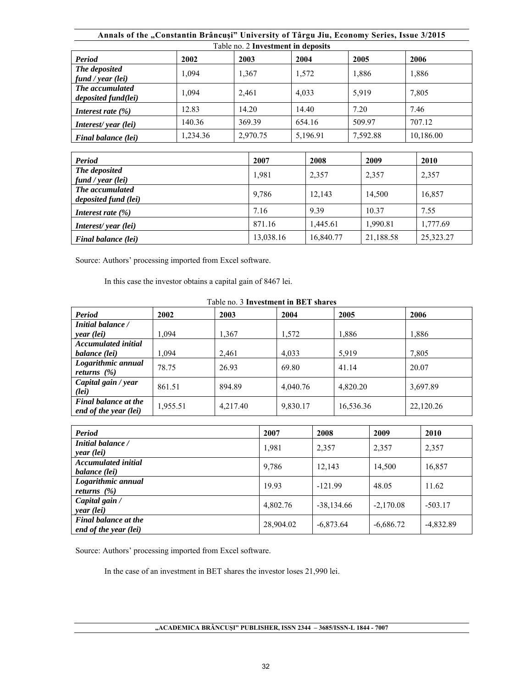|                                               | Annals of the "Constantin Brâncuși" University of Târgu Jiu, Economy Series, Issue 3/2015 |          |          |          |           |  |  |  |  |  |
|-----------------------------------------------|-------------------------------------------------------------------------------------------|----------|----------|----------|-----------|--|--|--|--|--|
| Table no. 2 Investment in deposits            |                                                                                           |          |          |          |           |  |  |  |  |  |
| <b>Period</b>                                 | 2002<br>2003<br>2004<br>2006<br>2005                                                      |          |          |          |           |  |  |  |  |  |
| The deposited<br>fund / year (lei)            | 1,094                                                                                     | 1,367    | 1,572    | 1,886    | 1,886     |  |  |  |  |  |
| The accumulated<br><i>deposited fund(lei)</i> | 1,094                                                                                     | 2,461    | 4,033    | 5,919    | 7,805     |  |  |  |  |  |
| Interest rate $(\% )$                         | 12.83                                                                                     | 14.20    | 14.40    | 7.20     | 7.46      |  |  |  |  |  |
| Interest/year (lei)                           | 140.36                                                                                    | 369.39   | 654.16   | 509.97   | 707.12    |  |  |  |  |  |
| Final balance (lei)                           | 1.234.36                                                                                  | 2,970.75 | 5,196.91 | 7.592.88 | 10,186.00 |  |  |  |  |  |
|                                               |                                                                                           |          |          |          |           |  |  |  |  |  |

| <b>Period</b>                           | 2007      | 2008      | 2009      | 2010      |
|-----------------------------------------|-----------|-----------|-----------|-----------|
| The deposited<br>fund / year (lei)      | 1,981     | 2,357     | 2,357     | 2,357     |
| The accumulated<br>deposited fund (lei) | 9,786     | 12.143    | 14.500    | 16.857    |
| Interest rate $(\% )$                   | 7.16      | 9.39      | 10.37     | 7.55      |
| Interest/year (lei)                     | 871.16    | 1.445.61  | 1,990.81  | 1,777.69  |
| Final balance (lei)                     | 13,038.16 | 16,840.77 | 21,188.58 | 25,323.27 |

In this case the investor obtains a capital gain of 8467 lei.

| Table no. 3 Investment in BET shares                 |          |          |          |           |           |  |  |  |
|------------------------------------------------------|----------|----------|----------|-----------|-----------|--|--|--|
| <b>Period</b>                                        | 2002     | 2003     | 2004     | 2005      | 2006      |  |  |  |
| Initial balance /                                    |          |          |          |           |           |  |  |  |
| year (lei)                                           | 1,094    | 1,367    | 1,572    | 1,886     | 1,886     |  |  |  |
| <b>Accumulated initial</b>                           |          |          |          |           |           |  |  |  |
| balance (lei)                                        | 1,094    | 2,461    | 4,033    | 5,919     | 7,805     |  |  |  |
| Logarithmic annual                                   | 78.75    | 26.93    | 69.80    | 41.14     | 20.07     |  |  |  |
| returns $(\% )$                                      |          |          |          |           |           |  |  |  |
| Capital gain / year<br>(Iei)                         | 861.51   | 894.89   | 4,040.76 | 4,820.20  | 3,697.89  |  |  |  |
| <b>Final balance at the</b><br>end of the year (lei) | 1,955.51 | 4,217.40 | 9,830.17 | 16,536.36 | 22,120.26 |  |  |  |

| Period                                               | 2007      | 2008         | 2009        | 2010        |
|------------------------------------------------------|-----------|--------------|-------------|-------------|
| Initial balance /<br>year (lei)                      | 1,981     | 2,357        | 2,357       | 2,357       |
| <b>Accumulated initial</b><br>balance (lei)          | 9,786     | 12,143       | 14,500      | 16,857      |
| Logarithmic annual<br>returns $(\% )$                | 19.93     | $-121.99$    | 48.05       | 11.62       |
| Capital gain /<br>year (lei)                         | 4,802.76  | $-38,134.66$ | $-2,170.08$ | $-503.17$   |
| <b>Final balance at the</b><br>end of the year (lei) | 28,904.02 | $-6,873.64$  | $-6,686.72$ | $-4,832.89$ |

Source: Authors' processing imported from Excel software.

In the case of an investment in BET shares the investor loses 21,990 lei.

**"ACADEMICA BRÂNCUŞI" PUBLISHER, ISSN 2344 – 3685/ISSN-L 1844 - 7007**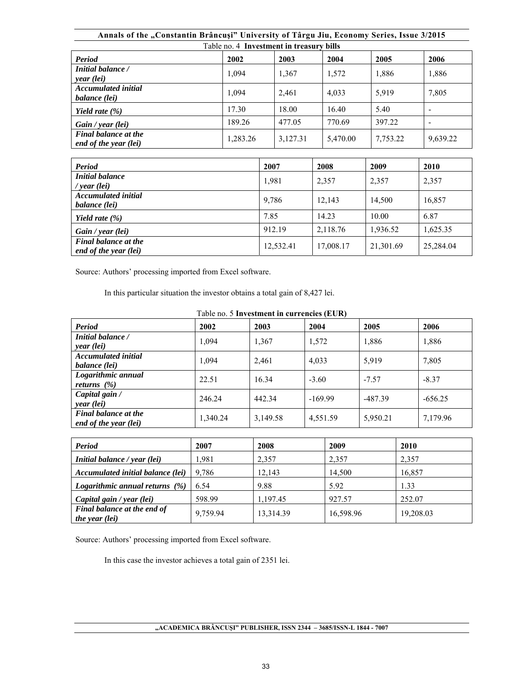| Annals of the "Constantin Brâncuși" University of Târgu Jiu, Economy Series, Issue 3/2015 |          |          |          |          |          |  |  |  |
|-------------------------------------------------------------------------------------------|----------|----------|----------|----------|----------|--|--|--|
| Table no. 4 Investment in treasury bills                                                  |          |          |          |          |          |  |  |  |
| Period                                                                                    | 2002     | 2003     | 2004     | 2005     | 2006     |  |  |  |
| Initial balance /<br>year (lei)                                                           | 1,094    | 1,367    | 1,572    | 1,886    | 1,886    |  |  |  |
| <b>Accumulated initial</b><br>balance (lei)                                               | 1.094    | 2,461    | 4,033    | 5.919    | 7,805    |  |  |  |
| Yield rate $(\% )$                                                                        | 17.30    | 18.00    | 16.40    | 5.40     | -        |  |  |  |
| Gain / year (lei)                                                                         | 189.26   | 477.05   | 770.69   | 397.22   |          |  |  |  |
| <b>Final balance at the</b><br>end of the year (lei)                                      | 1.283.26 | 3,127.31 | 5,470.00 | 7,753.22 | 9,639.22 |  |  |  |
|                                                                                           |          |          |          |          |          |  |  |  |
| <b>Period</b>                                                                             |          | 2007     | 2008     | 2009     | 2010     |  |  |  |

| Period                                               | 2007      | 2008      | 2009      | 2010      |
|------------------------------------------------------|-----------|-----------|-----------|-----------|
| <b>Initial balance</b><br>/ year (lei)               | 1,981     | 2,357     | 2,357     | 2,357     |
| <b>Accumulated initial</b><br>balance (lei)          | 9,786     | 12,143    | 14.500    | 16,857    |
| Yield rate $(\% )$                                   | 7.85      | 14.23     | 10.00     | 6.87      |
| Gain / year (lei)                                    | 912.19    | 2,118.76  | 1,936.52  | 1,625.35  |
| <b>Final balance at the</b><br>end of the year (lei) | 12,532.41 | 17,008.17 | 21,301.69 | 25,284.04 |

In this particular situation the investor obtains a total gain of 8,427 lei.

| Table no. 5 Investment in currencies (EUR)           |          |          |           |           |           |  |  |
|------------------------------------------------------|----------|----------|-----------|-----------|-----------|--|--|
| Period                                               | 2002     | 2003     | 2004      | 2005      | 2006      |  |  |
| Initial balance /<br>year (lei)                      | 1,094    | 1,367    | 1,572     | 1,886     | 1,886     |  |  |
| <b>Accumulated initial</b><br>balance (lei)          | 1,094    | 2,461    | 4,033     | 5,919     | 7,805     |  |  |
| Logarithmic annual<br>returns $(\%)$                 | 22.51    | 16.34    | $-3.60$   | $-7.57$   | $-8.37$   |  |  |
| Capital gain /<br>year (lei)                         | 246.24   | 442.34   | $-169.99$ | $-487.39$ | $-656.25$ |  |  |
| <b>Final balance at the</b><br>end of the year (lei) | 1,340.24 | 3,149.58 | 4,551.59  | 5,950.21  | 7,179.96  |  |  |

| <b>Period</b>                                        | 2007     | 2008      | 2009      | 2010      |
|------------------------------------------------------|----------|-----------|-----------|-----------|
| Initial balance / year (lei)                         | 1.981    | 2,357     | 2,357     | 2,357     |
| Accumulated initial balance (lei)                    | 9.786    | 12,143    | 14,500    | 16,857    |
| Logarithmic annual returns $(\%)$                    | 6.54     | 9.88      | 5.92      | 1.33      |
| Capital gain / year (lei)                            | 598.99   | 1,197.45  | 927.57    | 252.07    |
| Final balance at the end of<br><i>the year (lei)</i> | 9,759.94 | 13,314.39 | 16,598.96 | 19,208.03 |

Source: Authors' processing imported from Excel software.

In this case the investor achieves a total gain of 2351 lei.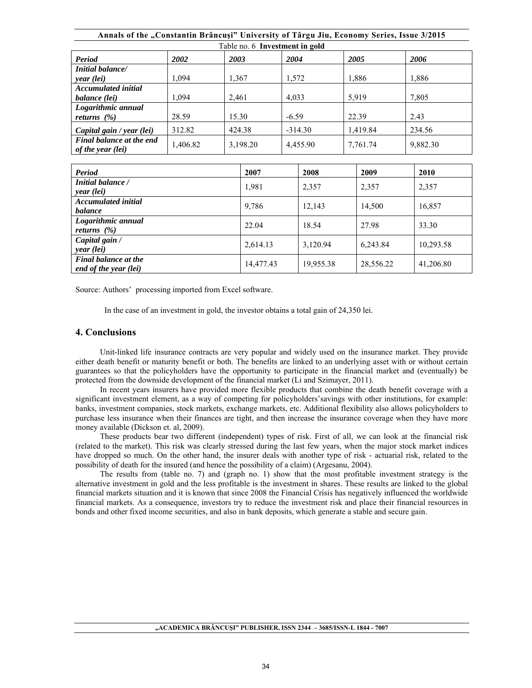| Annals of the "Constantin Brâncuși" University of Târgu Jiu, Economy Series, Issue 3/2015 |                                |        |           |          |          |          |          |        |           |  |
|-------------------------------------------------------------------------------------------|--------------------------------|--------|-----------|----------|----------|----------|----------|--------|-----------|--|
|                                                                                           | Table no. 6 Investment in gold |        |           |          |          |          |          |        |           |  |
| <b>Period</b>                                                                             | 2002                           | 2003   |           | 2004     |          | 2005     |          |        | 2006      |  |
| <b>Initial balance/</b><br>year (lei)                                                     | 1,094                          | 1,367  |           | 1,572    |          | 1,886    |          |        | 1,886     |  |
| <b>Accumulated initial</b><br>balance (lei)                                               | 1,094                          | 2,461  |           | 4,033    |          | 5,919    |          |        | 7,805     |  |
| Logarithmic annual<br>returns $(\% )$                                                     | 28.59                          | 15.30  |           | $-6.59$  |          |          | 22.39    |        | 2.43      |  |
| Capital gain / year (lei)                                                                 | 312.82                         | 424.38 | $-314.30$ |          | 1,419.84 |          |          | 234.56 |           |  |
| Final balance at the end<br><i>of the year (lei)</i>                                      | 1,406.82                       |        | 3,198.20  | 4,455.90 |          | 7,761.74 |          |        | 9,882.30  |  |
|                                                                                           |                                |        |           |          |          |          |          |        |           |  |
| Period                                                                                    |                                |        | 2007      |          | 2008     |          | 2009     |        | 2010      |  |
| Initial balance /<br>year (lei)                                                           |                                |        | 1,981     |          | 2,357    |          | 2,357    |        | 2,357     |  |
| <b>Accumulated initial</b><br>balance                                                     |                                |        | 9,786     |          | 12,143   |          | 14,500   |        | 16,857    |  |
| Logarithmic annual<br>returns $(\%)$                                                      |                                |        | 22.04     |          | 18.54    |          | 27.98    |        | 33.30     |  |
| Capital gain /<br>year (lei)                                                              |                                |        | 2,614.13  |          | 3,120.94 |          | 6,243.84 |        | 10,293.58 |  |

In the case of an investment in gold, the investor obtains a total gain of 24,350 lei.

#### **4. Conclusions**

*Final balance at the* 

Unit-linked life insurance contracts are very popular and widely used on the insurance market. They provide either death benefit or maturity benefit or both. The benefits are linked to an underlying asset with or without certain guarantees so that the policyholders have the opportunity to participate in the financial market and (eventually) be protected from the downside development of the financial market (Li and Szimayer, 2011).

*end of the year (lei)* 14,477.43 19,955.38 28,556.22 41,206.80

In recent years insurers have provided more flexible products that combine the death benefit coverage with a significant investment element, as a way of competing for policyholders'savings with other institutions, for example: banks, investment companies, stock markets, exchange markets, etc. Additional flexibility also allows policyholders to purchase less insurance when their finances are tight, and then increase the insurance coverage when they have more money available (Dickson et. al, 2009).

These products bear two different (independent) types of risk. First of all, we can look at the financial risk (related to the market). This risk was clearly stressed during the last few years, when the major stock market indices have dropped so much. On the other hand, the insurer deals with another type of risk - actuarial risk, related to the possibility of death for the insured (and hence the possibility of a claim) (Argesanu, 2004).

The results from (table no. 7) and (graph no. 1) show that the most profitable investment strategy is the alternative investment in gold and the less profitable is the investment in shares. These results are linked to the global financial markets situation and it is known that since 2008 the Financial Crisis has negatively influenced the worldwide financial markets. As a consequence, investors try to reduce the investment risk and place their financial resources in bonds and other fixed income securities, and also in bank deposits, which generate a stable and secure gain.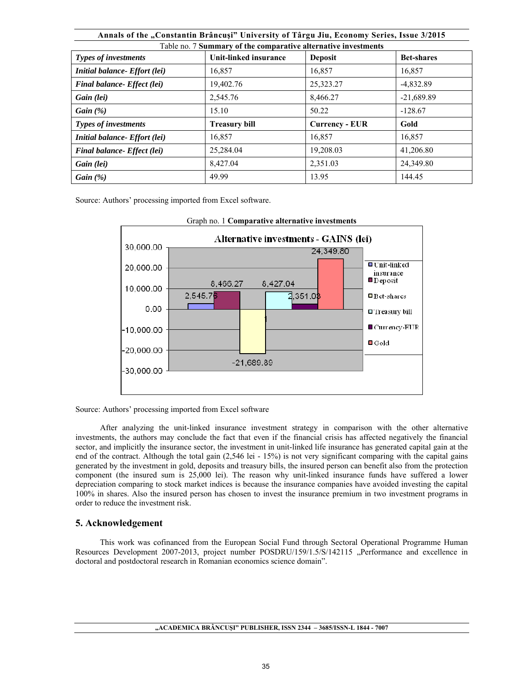| Annals of the "Constantin Brâncuși" University of Târgu Jiu, Economy Series, Issue 3/2015 |                       |                       |                   |
|-------------------------------------------------------------------------------------------|-----------------------|-----------------------|-------------------|
| Table no. 7 Summary of the comparative alternative investments                            |                       |                       |                   |
| <b>Types of investments</b>                                                               | Unit-linked insurance | <b>Deposit</b>        | <b>Bet-shares</b> |
| Initial balance- Effort (lei)                                                             | 16,857                | 16,857                | 16,857            |
| Final balance- Effect (lei)                                                               | 19,402.76             | 25,323.27             | $-4,832.89$       |
| Gain (lei)                                                                                | 2,545.76              | 8.466.27              | $-21.689.89$      |
| Gain $(\%)$                                                                               | 15.10                 | 50.22                 | $-128.67$         |
| <b>Types of investments</b>                                                               | <b>Treasury bill</b>  | <b>Currency - EUR</b> | Gold              |
| <b>Initial balance- Effort (lei)</b>                                                      | 16,857                | 16,857                | 16,857            |
| Final balance- Effect (lei)                                                               | 25,284.04             | 19,208.03             | 41,206.80         |
| Gain (lei)                                                                                | 8,427.04              | 2,351.03              | 24,349.80         |
| Gain $(\%)$                                                                               | 49.99                 | 13.95                 | 144.45            |



### Graph no. 1 **Comparative alternative investments**

Source: Authors' processing imported from Excel software

After analyzing the unit-linked insurance investment strategy in comparison with the other alternative investments, the authors may conclude the fact that even if the financial crisis has affected negatively the financial sector, and implicitly the insurance sector, the investment in unit-linked life insurance has generated capital gain at the end of the contract. Although the total gain (2,546 lei - 15%) is not very significant comparing with the capital gains generated by the investment in gold, deposits and treasury bills, the insured person can benefit also from the protection component (the insured sum is 25,000 lei). The reason why unit-linked insurance funds have suffered a lower depreciation comparing to stock market indices is because the insurance companies have avoided investing the capital 100% in shares. Also the insured person has chosen to invest the insurance premium in two investment programs in order to reduce the investment risk.

### **5. Acknowledgement**

This work was cofinanced from the European Social Fund through Sectoral Operational Programme Human Resources Development 2007-2013, project number POSDRU/159/1.5/S/142115 "Performance and excellence in doctoral and postdoctoral research in Romanian economics science domain".